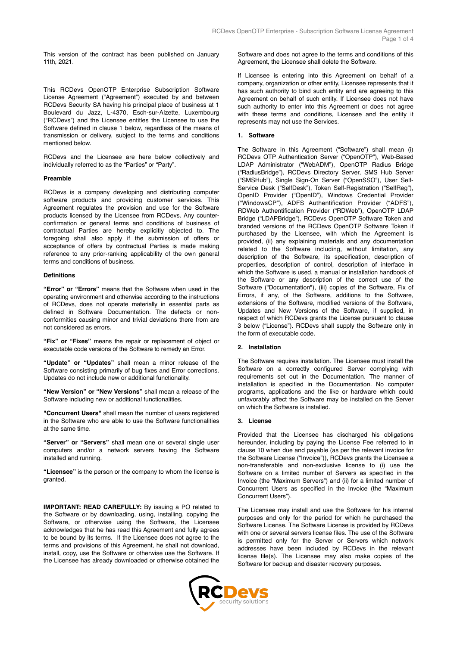This version of the contract has been published on January 11th, 2021.

This RCDevs OpenOTP Enterprise Subscription Software License Agreement ("Agreement") executed by and between RCDevs Security SA having his principal place of business at 1 Boulevard du Jazz, L-4370, Esch-sur-Alzette, Luxembourg ("RCDevs") and the Licensee entitles the Licensee to use the Software defined in clause 1 below, regardless of the means of transmission or delivery, subject to the terms and conditions mentioned below.

RCDevs and the Licensee are here below collectively and individually referred to as the "Parties" or "Party".

### **Preamble**

RCDevs is a company developing and distributing computer software products and providing customer services. This Agreement regulates the provision and use for the Software products licensed by the Licensee from RCDevs. Any counterconfirmation or general terms and conditions of business of contractual Parties are hereby explicitly objected to. The foregoing shall also apply if the submission of offers or acceptance of offers by contractual Parties is made making reference to any prior-ranking applicability of the own general terms and conditions of business.

#### **Definitions**

**"Error" or "Errors"** means that the Software when used in the operating environment and otherwise according to the instructions of RCDevs, does not operate materially in essential parts as defined in Software Documentation. The defects or nonconformities causing minor and trivial deviations there from are not considered as errors.

**"Fix" or "Fixes"** means the repair or replacement of object or executable code versions of the Software to remedy an Error.

**"Update" or "Updates"** shall mean a minor release of the Software consisting primarily of bug fixes and Error corrections. Updates do not include new or additional functionality.

**"New Version" or "New Versions"** shall mean a release of the Software including new or additional functionalities.

**"Concurrent Users"** shall mean the number of users registered in the Software who are able to use the Software functionalities at the same time.

**"Server" or "Servers"** shall mean one or several single user computers and/or a network servers having the Software installed and running.

**"Licensee"** is the person or the company to whom the license is granted.

**IMPORTANT: READ CAREFULLY:** By issuing a PO related to the Software or by downloading, using, installing, copying the Software, or otherwise using the Software, the Licensee acknowledges that he has read this Agreement and fully agrees to be bound by its terms. If the Licensee does not agree to the terms and provisions of this Agreement, he shall not download, install, copy, use the Software or otherwise use the Software. If the Licensee has already downloaded or otherwise obtained the Software and does not agree to the terms and conditions of this Agreement, the Licensee shall delete the Software.

If Licensee is entering into this Agreement on behalf of a company, organization or other entity, Licensee represents that it has such authority to bind such entity and are agreeing to this Agreement on behalf of such entity. If Licensee does not have such authority to enter into this Agreement or does not agree with these terms and conditions, Licensee and the entity it represents may not use the Services.

#### **1. Software**

The Software in this Agreement ("Software") shall mean (i) RCDevs OTP Authentication Server ("OpenOTP"), Web-Based LDAP Administrator ("WebADM"), OpenOTP Radius Bridge ("RadiusBridge"), RCDevs Directory Server, SMS Hub Server ("SMSHub"), Single Sign-On Server ("OpenSSO"), User Self-Service Desk ("SelfDesk"), Token Self-Registration ("SelfReg"), OpenID Provider ("OpenID"), Windows Credential Provider ("WindowsCP"), ADFS Authentification Provider ("ADFS"), RDWeb Authentification Provider ("RDWeb"), OpenOTP LDAP Bridge ("LDAPBridge"), RCDevs OpenOTP Software Token and branded versions of the RCDevs OpenOTP Software Token if purchased by the Licensee, with which the Agreement is provided, (ii) any explaining materials and any documentation related to the Software including, without limitation, any description of the Software, its specification, description of properties, description of control, description of interface in which the Software is used, a manual or installation handbook of the Software or any description of the correct use of the Software ("Documentation"), (iii) copies of the Software, Fix of Errors, if any, of the Software, additions to the Software, extensions of the Software, modified versions of the Software, Updates and New Versions of the Software, if supplied, in respect of which RCDevs grants the License pursuant to clause 3 below ("License"). RCDevs shall supply the Software only in the form of executable code.

# **2. Installation**

The Software requires installation. The Licensee must install the Software on a correctly configured Server complying with requirements set out in the Documentation. The manner of installation is specified in the Documentation. No computer programs, applications and the like or hardware which could unfavorably affect the Software may be installed on the Server on which the Software is installed.

#### **3. License**

Provided that the Licensee has discharged his obligations hereunder, including by paying the License Fee referred to in clause 10 when due and payable (as per the relevant invoice for the Software License ("Invoice")), RCDevs grants the Licensee a non-transferable and non-exclusive license to (i) use the Software on a limited number of Servers as specified in the Invoice (the "Maximum Servers") and (ii) for a limited number of Concurrent Users as specified in the Invoice (the "Maximum Concurrent Users").

The Licensee may install and use the Software for his internal purposes and only for the period for which he purchased the Software License. The Software License is provided by RCDevs with one or several servers license files. The use of the Software is permitted only for the Server or Servers which network addresses have been included by RCDevs in the relevant license file(s). The Licensee may also make copies of the Software for backup and disaster recovery purposes.

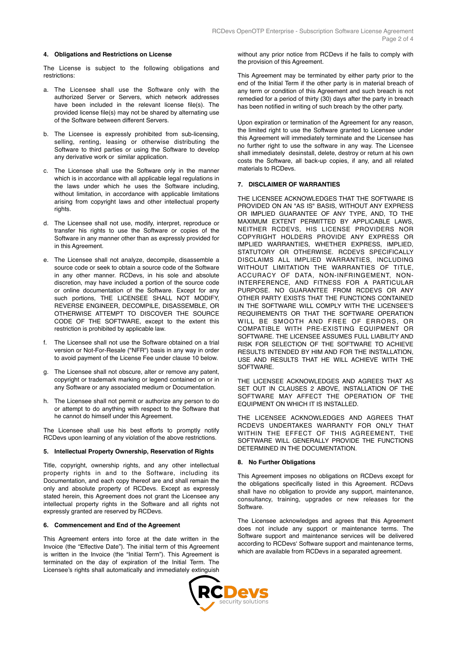## **4. Obligations and Restrictions on License**

The License is subject to the following obligations and restrictions:

- a. The Licensee shall use the Software only with the authorized Server or Servers, which network addresses have been included in the relevant license file(s). The provided license file(s) may not be shared by alternating use of the Software between different Servers.
- b. The Licensee is expressly prohibited from sub-licensing, selling, renting, leasing or otherwise distributing the Software to third parties or using the Software to develop any derivative work or similar application.
- c. The Licensee shall use the Software only in the manner which is in accordance with all applicable legal regulations in the laws under which he uses the Software including, without limitation, in accordance with applicable limitations arising from copyright laws and other intellectual property rights.
- d. The Licensee shall not use, modify, interpret, reproduce or transfer his rights to use the Software or copies of the Software in any manner other than as expressly provided for in this Agreement.
- e. The Licensee shall not analyze, decompile, disassemble a source code or seek to obtain a source code of the Software in any other manner. RCDevs, in his sole and absolute discretion, may have included a portion of the source code or online documentation of the Software. Except for any such portions, THE LICENSEE SHALL NOT MODIFY, REVERSE ENGINEER, DECOMPILE, DISASSEMBLE, OR OTHERWISE ATTEMPT TO DISCOVER THE SOURCE CODE OF THE SOFTWARE, except to the extent this restriction is prohibited by applicable law.
- f. The Licensee shall not use the Software obtained on a trial version or Not-For-Resale ("NFR") basis in any way in order to avoid payment of the License Fee under clause 10 below.
- g. The Licensee shall not obscure, alter or remove any patent, copyright or trademark marking or legend contained on or in any Software or any associated medium or Documentation.
- h. The Licensee shall not permit or authorize any person to do or attempt to do anything with respect to the Software that he cannot do himself under this Agreement.

The Licensee shall use his best efforts to promptly notify RCDevs upon learning of any violation of the above restrictions.

#### **5. Intellectual Property Ownership, Reservation of Rights**

Title, copyright, ownership rights, and any other intellectual property rights in and to the Software, including its Documentation, and each copy thereof are and shall remain the only and absolute property of RCDevs. Except as expressly stated herein, this Agreement does not grant the Licensee any intellectual property rights in the Software and all rights not expressly granted are reserved by RCDevs.

## **6. Commencement and End of the Agreement**

This Agreement enters into force at the date written in the Invoice (the "Effective Date"). The initial term of this Agreement is written in the Invoice (the "Initial Term"). This Agreement is terminated on the day of expiration of the Initial Term. The Licensee's rights shall automatically and immediately extinguish without any prior notice from RCDevs if he fails to comply with the provision of this Agreement.

This Agreement may be terminated by either party prior to the end of the Initial Term if the other party is in material breach of any term or condition of this Agreement and such breach is not remedied for a period of thirty (30) days after the party in breach has been notified in writing of such breach by the other party.

Upon expiration or termination of the Agreement for any reason, the limited right to use the Software granted to Licensee under this Agreement will immediately terminate and the Licensee has no further right to use the software in any way. The Licensee shall immediately desinstall, delete, destroy or return at his own costs the Software, all back-up copies, if any, and all related materials to RCDevs.

#### **7. DISCLAIMER OF WARRANTIES**

THE LICENSEE ACKNOWLEDGES THAT THE SOFTWARE IS PROVIDED ON AN "AS IS" BASIS, WITHOUT ANY EXPRESS OR IMPLIED GUARANTEE OF ANY TYPE, AND, TO THE MAXIMUM EXTENT PERMITTED BY APPLICABLE LAWS, NEITHER RCDEVS, HIS LICENSE PROVIDERS NOR COPYRIGHT HOLDERS PROVIDE ANY EXPRESS OR IMPLIED WARRANTIES, WHETHER EXPRESS, IMPLIED, STATUTORY OR OTHERWISE. RCDEVS SPECIFICALLY DISCLAIMS ALL IMPLIED WARRANTIES, INCLUDING WITHOUT LIMITATION THE WARRANTIES OF TITLE, ACCURACY OF DATA, NON-INFRINGEMENT, NON-INTERFERENCE, AND FITNESS FOR A PARTICULAR PURPOSE. NO GUARANTEE FROM RCDEVS OR ANY OTHER PARTY EXISTS THAT THE FUNCTIONS CONTAINED IN THE SOFTWARE WILL COMPLY WITH THE LICENSEE'S REQUIREMENTS OR THAT THE SOFTWARE OPERATION WILL BE SMOOTH AND FREE OF ERRORS, OR COMPATIBLE WITH PRE-EXISTING EQUIPMENT OR SOFTWARE. THE LICENSEE ASSUMES FULL LIABILITY AND RISK FOR SELECTION OF THE SOFTWARE TO ACHIEVE RESULTS INTENDED BY HIM AND FOR THE INSTALLATION, USE AND RESULTS THAT HE WILL ACHIEVE WITH THE **SOFTWARE** 

THE LICENSEE ACKNOWLEDGES AND AGREES THAT AS SET OUT IN CLAUSES 2 ABOVE, INSTALLATION OF THE SOFTWARE MAY AFFECT THE OPERATION OF THE EQUIPMENT ON WHICH IT IS INSTALLED.

THE LICENSEE ACKNOWLEDGES AND AGREES THAT RCDEVS UNDERTAKES WARRANTY FOR ONLY THAT WITHIN THE EFFECT OF THIS AGREEMENT, THE SOFTWARE WILL GENERALLY PROVIDE THE FUNCTIONS DETERMINED IN THE DOCUMENTATION.

#### **8. No Further Obligations**

This Agreement imposes no obligations on RCDevs except for the obligations specifically listed in this Agreement. RCDevs shall have no obligation to provide any support, maintenance, consultancy, training, upgrades or new releases for the **Software** 

The Licensee acknowledges and agrees that this Agreement does not include any support or maintenance terms. The Software support and maintenance services will be delivered according to RCDevs' Software support and maintenance terms, which are available from RCDevs in a separated agreement.

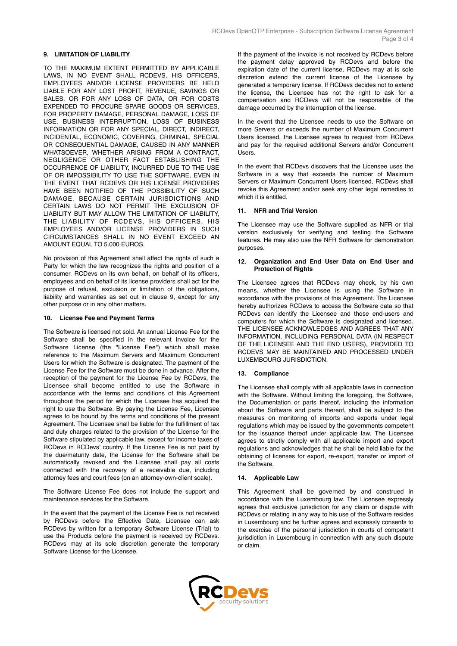## **9. LIMITATION OF LIABILITY**

TO THE MAXIMUM EXTENT PERMITTED BY APPLICABLE LAWS, IN NO EVENT SHALL RCDEVS, HIS OFFICERS, EMPLOYEES AND/OR LICENSE PROVIDERS BE HELD LIABLE FOR ANY LOST PROFIT, REVENUE, SAVINGS OR SALES, OR FOR ANY LOSS OF DATA, OR FOR COSTS EXPENDED TO PROCURE SPARE GOODS OR SERVICES, FOR PROPERTY DAMAGE, PERSONAL DAMAGE, LOSS OF USE, BUSINESS INTERRUPTION, LOSS OF BUSINESS INFORMATION OR FOR ANY SPECIAL, DIRECT, INDIRECT, INCIDENTAL, ECONOMIC, COVERING, CRIMINAL, SPECIAL OR CONSEQUENTIAL DAMAGE, CAUSED IN ANY MANNER WHATSOEVER, WHETHER ARISING FROM A CONTRACT, NEGLIGENCE OR OTHER FACT ESTABLISHING THE OCCURRENCE OF LIABILITY, INCURRED DUE TO THE USE OF OR IMPOSSIBILITY TO USE THE SOFTWARE, EVEN IN THE EVENT THAT RCDEVS OR HIS LICENSE PROVIDERS HAVE BEEN NOTIFIED OF THE POSSIBILITY OF SUCH DAMAGE. BECAUSE CERTAIN JURISDICTIONS AND CERTAIN LAWS DO NOT PERMIT THE EXCLUSION OF LIABILITY BUT MAY ALLOW THE LIMITATION OF LIABILITY, THE LIABILITY OF RCDEVS, HIS OFFICERS, HIS EMPLOYEES AND/OR LICENSE PROVIDERS IN SUCH CIRCUMSTANCES SHALL IN NO EVENT EXCEED AN AMOUNT EQUAL TO 5.000 EUROS.

No provision of this Agreement shall affect the rights of such a Party for which the law recognizes the rights and position of a consumer. RCDevs on its own behalf, on behalf of its officers, employees and on behalf of its license providers shall act for the purpose of refusal, exclusion or limitation of the obligations, liability and warranties as set out in clause 9, except for any other purpose or in any other matters.

### **10. License Fee and Payment Terms**

The Software is licensed not sold. An annual License Fee for the Software shall be specified in the relevant Invoice for the Software License (the "License Fee") which shall make reference to the Maximum Servers and Maximum Concurrent Users for which the Software is designated. The payment of the License Fee for the Software must be done in advance. After the reception of the payment for the License Fee by RCDevs, the Licensee shall become entitled to use the Software in accordance with the terms and conditions of this Agreement throughout the period for which the Licensee has acquired the right to use the Software. By paying the License Fee, Licensee agrees to be bound by the terms and conditions of the present Agreement. The Licensee shall be liable for the fulfillment of tax and duty charges related to the provision of the License for the Software stipulated by applicable law, except for income taxes of RCDevs in RCDevs' country. If the License Fee is not paid by the due/maturity date, the License for the Software shall be automatically revoked and the Licensee shall pay all costs connected with the recovery of a receivable due, including attorney fees and court fees (on an attorney-own-client scale).

The Software License Fee does not include the support and maintenance services for the Software.

In the event that the payment of the License Fee is not received by RCDevs before the Effective Date, Licensee can ask RCDevs by written for a temporary Software License (Trial) to use the Products before the payment is received by RCDevs. RCDevs may at its sole discretion generate the temporary Software License for the Licensee.

If the payment of the invoice is not received by RCDevs before the payment delay approved by RCDevs and before the expiration date of the current license, RCDevs may at is sole discretion extend the current license of the Licensee by generated a temporary license. If RCDevs decides not to extend the license, the Licensee has not the right to ask for a compensation and RCDevs will not be responsible of the damage occurred by the interruption of the license.

In the event that the Licensee needs to use the Software on more Servers or exceeds the number of Maximum Concurrent Users licensed, the Licensee agrees to request from RCDevs and pay for the required additional Servers and/or Concurrent Users.

In the event that RCDevs discovers that the Licensee uses the Software in a way that exceeds the number of Maximum Servers or Maximum Concurrent Users licensed, RCDevs shall revoke this Agreement and/or seek any other legal remedies to which it is entitled.

# **11. NFR and Trial Version**

The Licensee may use the Software supplied as NFR or trial version exclusively for verifying and testing the Software features. He may also use the NFR Software for demonstration purposes.

# **12. Organization and End User Data on End User and Protection of Rights**

The Licensee agrees that RCDevs may check, by his own means, whether the Licensee is using the Software in accordance with the provisions of this Agreement. The Licensee hereby authorizes RCDevs to access the Software data so that RCDevs can identify the Licensee and those end-users and computers for which the Software is designated and licensed. THE LICENSEE ACKNOWLEDGES AND AGREES THAT ANY INFORMATION, INCLUDING PERSONAL DATA (IN RESPECT OF THE LICENSEE AND THE END USERS), PROVIDED TO RCDEVS MAY BE MAINTAINED AND PROCESSED UNDER LUXEMBOURG JURISDICTION.

# **13. Compliance**

The Licensee shall comply with all applicable laws in connection with the Software. Without limiting the foregoing, the Software, the Documentation or parts thereof, including the information about the Software and parts thereof, shall be subject to the measures on monitoring of imports and exports under legal regulations which may be issued by the governments competent for the issuance thereof under applicable law. The Licensee agrees to strictly comply with all applicable import and export regulations and acknowledges that he shall be held liable for the obtaining of licenses for export, re-export, transfer or import of the Software.

# **14. Applicable Law**

This Agreement shall be governed by and construed in accordance with the Luxembourg law. The Licensee expressly agrees that exclusive jurisdiction for any claim or dispute with RCDevs or relating in any way to his use of the Software resides in Luxembourg and he further agrees and expressly consents to the exercise of the personal jurisdiction in courts of competent jurisdiction in Luxembourg in connection with any such dispute or claim.